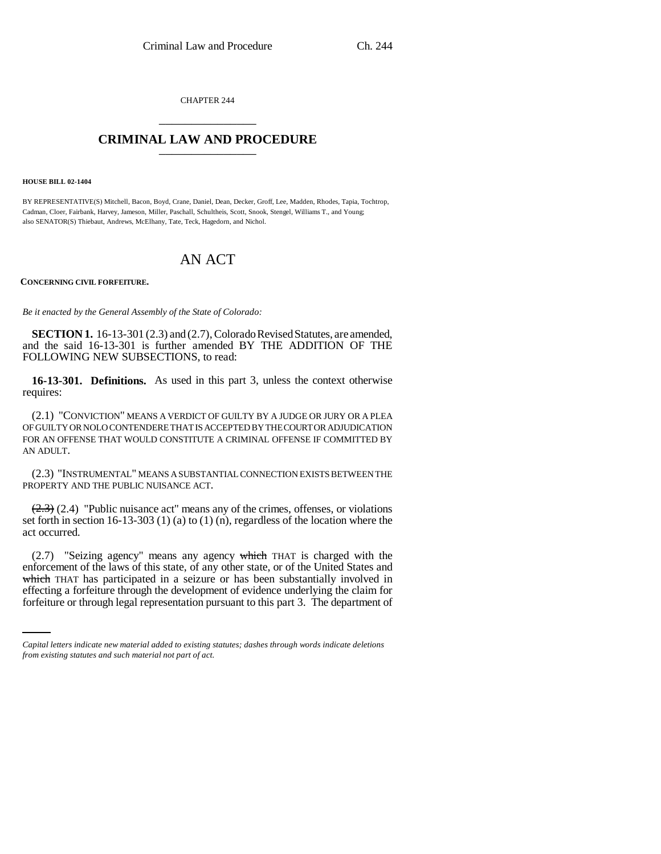CHAPTER 244 \_\_\_\_\_\_\_\_\_\_\_\_\_\_\_

## **CRIMINAL LAW AND PROCEDURE** \_\_\_\_\_\_\_\_\_\_\_\_\_\_\_

**HOUSE BILL 02-1404**

BY REPRESENTATIVE(S) Mitchell, Bacon, Boyd, Crane, Daniel, Dean, Decker, Groff, Lee, Madden, Rhodes, Tapia, Tochtrop, Cadman, Cloer, Fairbank, Harvey, Jameson, Miller, Paschall, Schultheis, Scott, Snook, Stengel, Williams T., and Young; also SENATOR(S) Thiebaut, Andrews, McElhany, Tate, Teck, Hagedorn, and Nichol.

# AN ACT

#### **CONCERNING CIVIL FORFEITURE.**

*Be it enacted by the General Assembly of the State of Colorado:*

**SECTION 1.** 16-13-301 (2.3) and (2.7), Colorado Revised Statutes, are amended, and the said 16-13-301 is further amended BY THE ADDITION OF THE FOLLOWING NEW SUBSECTIONS, to read:

**16-13-301. Definitions.** As used in this part 3, unless the context otherwise requires:

(2.1) "CONVICTION" MEANS A VERDICT OF GUILTY BY A JUDGE OR JURY OR A PLEA OF GUILTY OR NOLO CONTENDERE THAT IS ACCEPTED BY THE COURT OR ADJUDICATION FOR AN OFFENSE THAT WOULD CONSTITUTE A CRIMINAL OFFENSE IF COMMITTED BY AN ADULT.

(2.3) "INSTRUMENTAL" MEANS A SUBSTANTIAL CONNECTION EXISTS BETWEEN THE PROPERTY AND THE PUBLIC NUISANCE ACT.

 $(2.3)$  (2.4) "Public nuisance act" means any of the crimes, offenses, or violations set forth in section 16-13-303 (1) (a) to (1) (n), regardless of the location where the act occurred.

which THAT has participated in a seizure or has been substantially involved in (2.7) "Seizing agency" means any agency which THAT is charged with the enforcement of the laws of this state, of any other state, or of the United States and effecting a forfeiture through the development of evidence underlying the claim for forfeiture or through legal representation pursuant to this part 3. The department of

*Capital letters indicate new material added to existing statutes; dashes through words indicate deletions from existing statutes and such material not part of act.*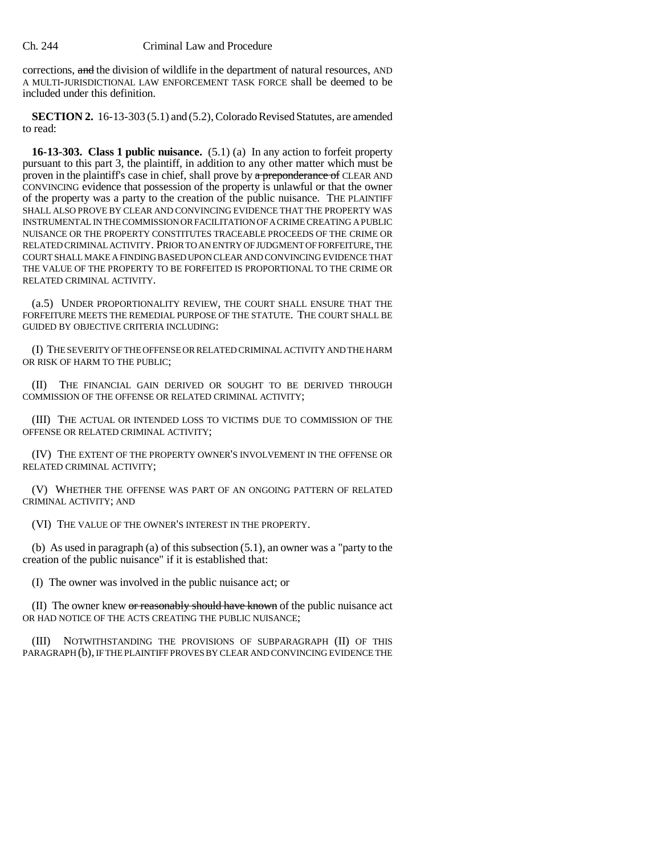corrections, and the division of wildlife in the department of natural resources, AND A MULTI-JURISDICTIONAL LAW ENFORCEMENT TASK FORCE shall be deemed to be included under this definition.

**SECTION 2.** 16-13-303 (5.1) and (5.2), Colorado Revised Statutes, are amended to read:

**16-13-303. Class 1 public nuisance.** (5.1) (a) In any action to forfeit property pursuant to this part 3, the plaintiff, in addition to any other matter which must be proven in the plaintiff's case in chief, shall prove by a preponderance of CLEAR AND CONVINCING evidence that possession of the property is unlawful or that the owner of the property was a party to the creation of the public nuisance. THE PLAINTIFF SHALL ALSO PROVE BY CLEAR AND CONVINCING EVIDENCE THAT THE PROPERTY WAS INSTRUMENTAL IN THE COMMISSION OR FACILITATION OF A CRIME CREATING A PUBLIC NUISANCE OR THE PROPERTY CONSTITUTES TRACEABLE PROCEEDS OF THE CRIME OR RELATED CRIMINAL ACTIVITY. PRIOR TO AN ENTRY OF JUDGMENT OF FORFEITURE, THE COURT SHALL MAKE A FINDING BASED UPON CLEAR AND CONVINCING EVIDENCE THAT THE VALUE OF THE PROPERTY TO BE FORFEITED IS PROPORTIONAL TO THE CRIME OR RELATED CRIMINAL ACTIVITY.

(a.5) UNDER PROPORTIONALITY REVIEW, THE COURT SHALL ENSURE THAT THE FORFEITURE MEETS THE REMEDIAL PURPOSE OF THE STATUTE. THE COURT SHALL BE GUIDED BY OBJECTIVE CRITERIA INCLUDING:

(I) THE SEVERITY OF THE OFFENSE OR RELATED CRIMINAL ACTIVITY AND THE HARM OR RISK OF HARM TO THE PUBLIC;

(II) THE FINANCIAL GAIN DERIVED OR SOUGHT TO BE DERIVED THROUGH COMMISSION OF THE OFFENSE OR RELATED CRIMINAL ACTIVITY;

(III) THE ACTUAL OR INTENDED LOSS TO VICTIMS DUE TO COMMISSION OF THE OFFENSE OR RELATED CRIMINAL ACTIVITY;

(IV) THE EXTENT OF THE PROPERTY OWNER'S INVOLVEMENT IN THE OFFENSE OR RELATED CRIMINAL ACTIVITY;

(V) WHETHER THE OFFENSE WAS PART OF AN ONGOING PATTERN OF RELATED CRIMINAL ACTIVITY; AND

(VI) THE VALUE OF THE OWNER'S INTEREST IN THE PROPERTY.

(b) As used in paragraph (a) of this subsection (5.1), an owner was a "party to the creation of the public nuisance" if it is established that:

(I) The owner was involved in the public nuisance act; or

(II) The owner knew or reasonably should have known of the public nuisance act OR HAD NOTICE OF THE ACTS CREATING THE PUBLIC NUISANCE;

(III) NOTWITHSTANDING THE PROVISIONS OF SUBPARAGRAPH (II) OF THIS PARAGRAPH (b), IF THE PLAINTIFF PROVES BY CLEAR AND CONVINCING EVIDENCE THE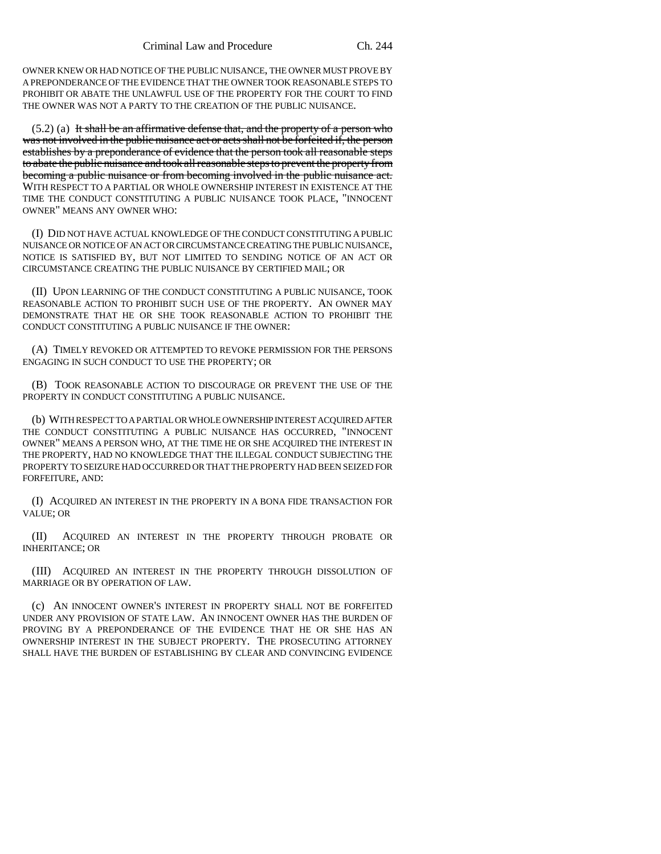OWNER KNEW OR HAD NOTICE OF THE PUBLIC NUISANCE, THE OWNER MUST PROVE BY A PREPONDERANCE OF THE EVIDENCE THAT THE OWNER TOOK REASONABLE STEPS TO PROHIBIT OR ABATE THE UNLAWFUL USE OF THE PROPERTY FOR THE COURT TO FIND THE OWNER WAS NOT A PARTY TO THE CREATION OF THE PUBLIC NUISANCE.

 $(5.2)$  (a) It shall be an affirmative defense that, and the property of a person who was not involved in the public nuisance act or acts shall not be forfeited if, the person establishes by a preponderance of evidence that the person took all reasonable steps to abate the public nuisance and took all reasonable steps to prevent the property from becoming a public nuisance or from becoming involved in the public nuisance act. WITH RESPECT TO A PARTIAL OR WHOLE OWNERSHIP INTEREST IN EXISTENCE AT THE TIME THE CONDUCT CONSTITUTING A PUBLIC NUISANCE TOOK PLACE, "INNOCENT OWNER" MEANS ANY OWNER WHO:

(I) DID NOT HAVE ACTUAL KNOWLEDGE OF THE CONDUCT CONSTITUTING A PUBLIC NUISANCE OR NOTICE OF AN ACT OR CIRCUMSTANCE CREATING THE PUBLIC NUISANCE, NOTICE IS SATISFIED BY, BUT NOT LIMITED TO SENDING NOTICE OF AN ACT OR CIRCUMSTANCE CREATING THE PUBLIC NUISANCE BY CERTIFIED MAIL; OR

(II) UPON LEARNING OF THE CONDUCT CONSTITUTING A PUBLIC NUISANCE, TOOK REASONABLE ACTION TO PROHIBIT SUCH USE OF THE PROPERTY. AN OWNER MAY DEMONSTRATE THAT HE OR SHE TOOK REASONABLE ACTION TO PROHIBIT THE CONDUCT CONSTITUTING A PUBLIC NUISANCE IF THE OWNER:

(A) TIMELY REVOKED OR ATTEMPTED TO REVOKE PERMISSION FOR THE PERSONS ENGAGING IN SUCH CONDUCT TO USE THE PROPERTY; OR

(B) TOOK REASONABLE ACTION TO DISCOURAGE OR PREVENT THE USE OF THE PROPERTY IN CONDUCT CONSTITUTING A PUBLIC NUISANCE.

(b) WITH RESPECT TO A PARTIAL OR WHOLE OWNERSHIP INTEREST ACQUIRED AFTER THE CONDUCT CONSTITUTING A PUBLIC NUISANCE HAS OCCURRED, "INNOCENT OWNER" MEANS A PERSON WHO, AT THE TIME HE OR SHE ACQUIRED THE INTEREST IN THE PROPERTY, HAD NO KNOWLEDGE THAT THE ILLEGAL CONDUCT SUBJECTING THE PROPERTY TO SEIZURE HAD OCCURRED OR THAT THE PROPERTY HAD BEEN SEIZED FOR FORFEITURE, AND:

(I) ACQUIRED AN INTEREST IN THE PROPERTY IN A BONA FIDE TRANSACTION FOR VALUE; OR

(II) ACQUIRED AN INTEREST IN THE PROPERTY THROUGH PROBATE OR INHERITANCE; OR

(III) ACQUIRED AN INTEREST IN THE PROPERTY THROUGH DISSOLUTION OF MARRIAGE OR BY OPERATION OF LAW.

(c) AN INNOCENT OWNER'S INTEREST IN PROPERTY SHALL NOT BE FORFEITED UNDER ANY PROVISION OF STATE LAW. AN INNOCENT OWNER HAS THE BURDEN OF PROVING BY A PREPONDERANCE OF THE EVIDENCE THAT HE OR SHE HAS AN OWNERSHIP INTEREST IN THE SUBJECT PROPERTY. THE PROSECUTING ATTORNEY SHALL HAVE THE BURDEN OF ESTABLISHING BY CLEAR AND CONVINCING EVIDENCE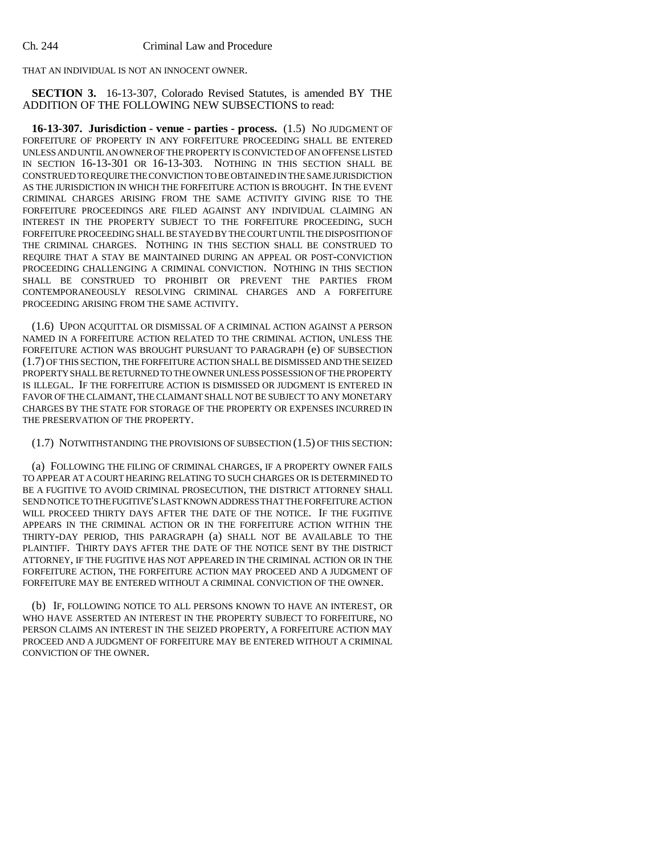THAT AN INDIVIDUAL IS NOT AN INNOCENT OWNER.

**SECTION 3.** 16-13-307, Colorado Revised Statutes, is amended BY THE ADDITION OF THE FOLLOWING NEW SUBSECTIONS to read:

**16-13-307. Jurisdiction - venue - parties - process.** (1.5) NO JUDGMENT OF FORFEITURE OF PROPERTY IN ANY FORFEITURE PROCEEDING SHALL BE ENTERED UNLESS AND UNTIL AN OWNER OF THE PROPERTY IS CONVICTED OF AN OFFENSE LISTED IN SECTION 16-13-301 OR 16-13-303. NOTHING IN THIS SECTION SHALL BE CONSTRUED TO REQUIRE THE CONVICTION TO BE OBTAINED IN THE SAME JURISDICTION AS THE JURISDICTION IN WHICH THE FORFEITURE ACTION IS BROUGHT. IN THE EVENT CRIMINAL CHARGES ARISING FROM THE SAME ACTIVITY GIVING RISE TO THE FORFEITURE PROCEEDINGS ARE FILED AGAINST ANY INDIVIDUAL CLAIMING AN INTEREST IN THE PROPERTY SUBJECT TO THE FORFEITURE PROCEEDING, SUCH FORFEITURE PROCEEDING SHALL BE STAYED BY THE COURT UNTIL THE DISPOSITION OF THE CRIMINAL CHARGES. NOTHING IN THIS SECTION SHALL BE CONSTRUED TO REQUIRE THAT A STAY BE MAINTAINED DURING AN APPEAL OR POST-CONVICTION PROCEEDING CHALLENGING A CRIMINAL CONVICTION. NOTHING IN THIS SECTION SHALL BE CONSTRUED TO PROHIBIT OR PREVENT THE PARTIES FROM CONTEMPORANEOUSLY RESOLVING CRIMINAL CHARGES AND A FORFEITURE PROCEEDING ARISING FROM THE SAME ACTIVITY.

(1.6) UPON ACQUITTAL OR DISMISSAL OF A CRIMINAL ACTION AGAINST A PERSON NAMED IN A FORFEITURE ACTION RELATED TO THE CRIMINAL ACTION, UNLESS THE FORFEITURE ACTION WAS BROUGHT PURSUANT TO PARAGRAPH (e) OF SUBSECTION (1.7) OF THIS SECTION, THE FORFEITURE ACTION SHALL BE DISMISSED AND THE SEIZED PROPERTY SHALL BE RETURNED TO THE OWNER UNLESS POSSESSION OF THE PROPERTY IS ILLEGAL. IF THE FORFEITURE ACTION IS DISMISSED OR JUDGMENT IS ENTERED IN FAVOR OF THE CLAIMANT, THE CLAIMANT SHALL NOT BE SUBJECT TO ANY MONETARY CHARGES BY THE STATE FOR STORAGE OF THE PROPERTY OR EXPENSES INCURRED IN THE PRESERVATION OF THE PROPERTY.

### (1.7) NOTWITHSTANDING THE PROVISIONS OF SUBSECTION (1.5) OF THIS SECTION:

(a) FOLLOWING THE FILING OF CRIMINAL CHARGES, IF A PROPERTY OWNER FAILS TO APPEAR AT A COURT HEARING RELATING TO SUCH CHARGES OR IS DETERMINED TO BE A FUGITIVE TO AVOID CRIMINAL PROSECUTION, THE DISTRICT ATTORNEY SHALL SEND NOTICE TO THE FUGITIVE'S LAST KNOWN ADDRESS THAT THE FORFEITURE ACTION WILL PROCEED THIRTY DAYS AFTER THE DATE OF THE NOTICE. IF THE FUGITIVE APPEARS IN THE CRIMINAL ACTION OR IN THE FORFEITURE ACTION WITHIN THE THIRTY-DAY PERIOD, THIS PARAGRAPH (a) SHALL NOT BE AVAILABLE TO THE PLAINTIFF. THIRTY DAYS AFTER THE DATE OF THE NOTICE SENT BY THE DISTRICT ATTORNEY, IF THE FUGITIVE HAS NOT APPEARED IN THE CRIMINAL ACTION OR IN THE FORFEITURE ACTION, THE FORFEITURE ACTION MAY PROCEED AND A JUDGMENT OF FORFEITURE MAY BE ENTERED WITHOUT A CRIMINAL CONVICTION OF THE OWNER.

(b) IF, FOLLOWING NOTICE TO ALL PERSONS KNOWN TO HAVE AN INTEREST, OR WHO HAVE ASSERTED AN INTEREST IN THE PROPERTY SUBJECT TO FORFEITURE, NO PERSON CLAIMS AN INTEREST IN THE SEIZED PROPERTY, A FORFEITURE ACTION MAY PROCEED AND A JUDGMENT OF FORFEITURE MAY BE ENTERED WITHOUT A CRIMINAL CONVICTION OF THE OWNER.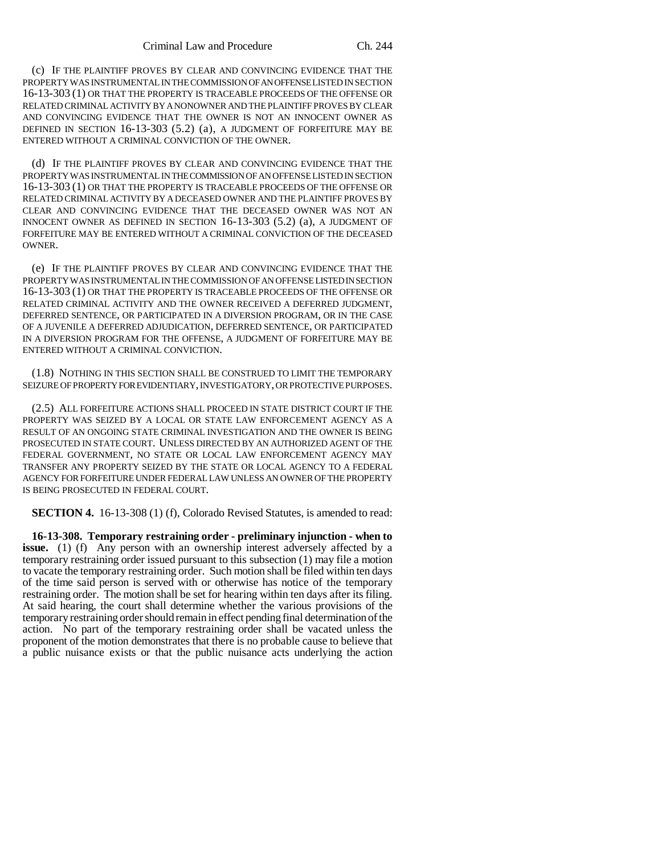(c) IF THE PLAINTIFF PROVES BY CLEAR AND CONVINCING EVIDENCE THAT THE PROPERTY WAS INSTRUMENTAL IN THE COMMISSION OF AN OFFENSE LISTED IN SECTION 16-13-303 (1) OR THAT THE PROPERTY IS TRACEABLE PROCEEDS OF THE OFFENSE OR RELATED CRIMINAL ACTIVITY BY A NONOWNER AND THE PLAINTIFF PROVES BY CLEAR AND CONVINCING EVIDENCE THAT THE OWNER IS NOT AN INNOCENT OWNER AS DEFINED IN SECTION 16-13-303 (5.2) (a), A JUDGMENT OF FORFEITURE MAY BE ENTERED WITHOUT A CRIMINAL CONVICTION OF THE OWNER.

(d) IF THE PLAINTIFF PROVES BY CLEAR AND CONVINCING EVIDENCE THAT THE PROPERTY WAS INSTRUMENTAL IN THE COMMISSION OF AN OFFENSE LISTED IN SECTION 16-13-303 (1) OR THAT THE PROPERTY IS TRACEABLE PROCEEDS OF THE OFFENSE OR RELATED CRIMINAL ACTIVITY BY A DECEASED OWNER AND THE PLAINTIFF PROVES BY CLEAR AND CONVINCING EVIDENCE THAT THE DECEASED OWNER WAS NOT AN INNOCENT OWNER AS DEFINED IN SECTION 16-13-303 (5.2) (a), A JUDGMENT OF FORFEITURE MAY BE ENTERED WITHOUT A CRIMINAL CONVICTION OF THE DECEASED OWNER.

(e) IF THE PLAINTIFF PROVES BY CLEAR AND CONVINCING EVIDENCE THAT THE PROPERTY WAS INSTRUMENTAL IN THE COMMISSION OF AN OFFENSE LISTED IN SECTION 16-13-303 (1) OR THAT THE PROPERTY IS TRACEABLE PROCEEDS OF THE OFFENSE OR RELATED CRIMINAL ACTIVITY AND THE OWNER RECEIVED A DEFERRED JUDGMENT, DEFERRED SENTENCE, OR PARTICIPATED IN A DIVERSION PROGRAM, OR IN THE CASE OF A JUVENILE A DEFERRED ADJUDICATION, DEFERRED SENTENCE, OR PARTICIPATED IN A DIVERSION PROGRAM FOR THE OFFENSE, A JUDGMENT OF FORFEITURE MAY BE ENTERED WITHOUT A CRIMINAL CONVICTION.

(1.8) NOTHING IN THIS SECTION SHALL BE CONSTRUED TO LIMIT THE TEMPORARY SEIZURE OF PROPERTY FOR EVIDENTIARY, INVESTIGATORY, OR PROTECTIVE PURPOSES.

(2.5) ALL FORFEITURE ACTIONS SHALL PROCEED IN STATE DISTRICT COURT IF THE PROPERTY WAS SEIZED BY A LOCAL OR STATE LAW ENFORCEMENT AGENCY AS A RESULT OF AN ONGOING STATE CRIMINAL INVESTIGATION AND THE OWNER IS BEING PROSECUTED IN STATE COURT. UNLESS DIRECTED BY AN AUTHORIZED AGENT OF THE FEDERAL GOVERNMENT, NO STATE OR LOCAL LAW ENFORCEMENT AGENCY MAY TRANSFER ANY PROPERTY SEIZED BY THE STATE OR LOCAL AGENCY TO A FEDERAL AGENCY FOR FORFEITURE UNDER FEDERAL LAW UNLESS AN OWNER OF THE PROPERTY IS BEING PROSECUTED IN FEDERAL COURT.

**SECTION 4.** 16-13-308 (1) (f), Colorado Revised Statutes, is amended to read:

**16-13-308. Temporary restraining order - preliminary injunction - when to issue.** (1) (f) Any person with an ownership interest adversely affected by a temporary restraining order issued pursuant to this subsection (1) may file a motion to vacate the temporary restraining order. Such motion shall be filed within ten days of the time said person is served with or otherwise has notice of the temporary restraining order. The motion shall be set for hearing within ten days after its filing. At said hearing, the court shall determine whether the various provisions of the temporary restraining order should remain in effect pending final determination of the action. No part of the temporary restraining order shall be vacated unless the proponent of the motion demonstrates that there is no probable cause to believe that a public nuisance exists or that the public nuisance acts underlying the action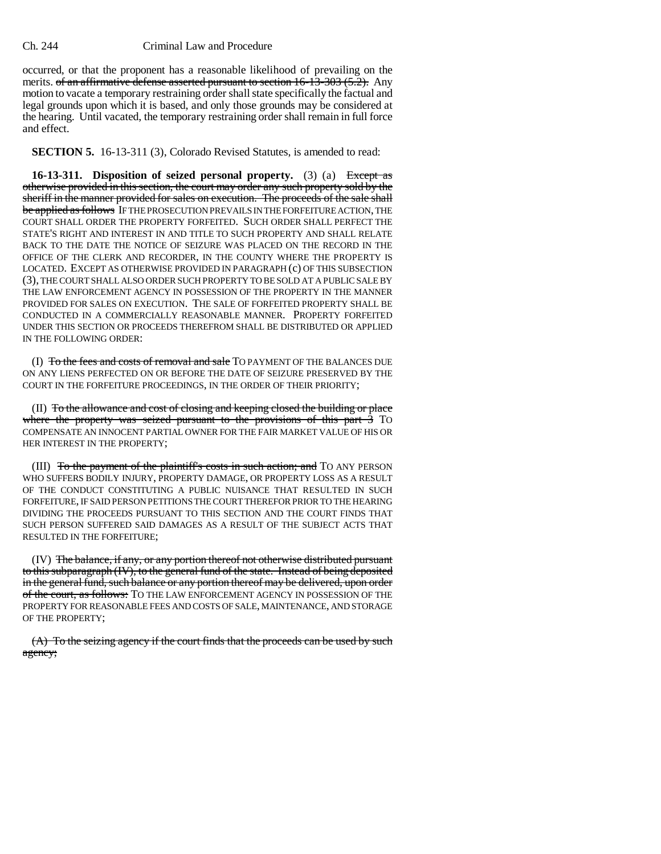occurred, or that the proponent has a reasonable likelihood of prevailing on the merits. of an affirmative defense asserted pursuant to section 16-13-303 (5.2). Any motion to vacate a temporary restraining order shall state specifically the factual and legal grounds upon which it is based, and only those grounds may be considered at the hearing. Until vacated, the temporary restraining order shall remain in full force and effect.

**SECTION 5.** 16-13-311 (3), Colorado Revised Statutes, is amended to read:

**16-13-311.** Disposition of seized personal property. (3) (a) Except as otherwise provided in this section, the court may order any such property sold by the sheriff in the manner provided for sales on execution. The proceeds of the sale shall be applied as follows IF THE PROSECUTION PREVAILS IN THE FORFEITURE ACTION, THE COURT SHALL ORDER THE PROPERTY FORFEITED. SUCH ORDER SHALL PERFECT THE STATE'S RIGHT AND INTEREST IN AND TITLE TO SUCH PROPERTY AND SHALL RELATE BACK TO THE DATE THE NOTICE OF SEIZURE WAS PLACED ON THE RECORD IN THE OFFICE OF THE CLERK AND RECORDER, IN THE COUNTY WHERE THE PROPERTY IS LOCATED. EXCEPT AS OTHERWISE PROVIDED IN PARAGRAPH (c) OF THIS SUBSECTION (3), THE COURT SHALL ALSO ORDER SUCH PROPERTY TO BE SOLD AT A PUBLIC SALE BY THE LAW ENFORCEMENT AGENCY IN POSSESSION OF THE PROPERTY IN THE MANNER PROVIDED FOR SALES ON EXECUTION. THE SALE OF FORFEITED PROPERTY SHALL BE CONDUCTED IN A COMMERCIALLY REASONABLE MANNER. PROPERTY FORFEITED UNDER THIS SECTION OR PROCEEDS THEREFROM SHALL BE DISTRIBUTED OR APPLIED IN THE FOLLOWING ORDER:

(I) To the fees and costs of removal and sale TO PAYMENT OF THE BALANCES DUE ON ANY LIENS PERFECTED ON OR BEFORE THE DATE OF SEIZURE PRESERVED BY THE COURT IN THE FORFEITURE PROCEEDINGS, IN THE ORDER OF THEIR PRIORITY;

(II) To the allowance and cost of closing and keeping closed the building or place where the property was seized pursuant to the provisions of this part 3 To COMPENSATE AN INNOCENT PARTIAL OWNER FOR THE FAIR MARKET VALUE OF HIS OR HER INTEREST IN THE PROPERTY;

(III) <del>To the payment of the plaintiff's costs in such action; and</del> TO ANY PERSON WHO SUFFERS BODILY INJURY, PROPERTY DAMAGE, OR PROPERTY LOSS AS A RESULT OF THE CONDUCT CONSTITUTING A PUBLIC NUISANCE THAT RESULTED IN SUCH FORFEITURE, IF SAID PERSON PETITIONS THE COURT THEREFOR PRIOR TO THE HEARING DIVIDING THE PROCEEDS PURSUANT TO THIS SECTION AND THE COURT FINDS THAT SUCH PERSON SUFFERED SAID DAMAGES AS A RESULT OF THE SUBJECT ACTS THAT RESULTED IN THE FORFEITURE;

(IV) The balance, if any, or any portion thereof not otherwise distributed pursuant to this subparagraph (IV), to the general fund of the state. Instead of being deposited in the general fund, such balance or any portion thereof may be delivered, upon order of the court, as follows: TO THE LAW ENFORCEMENT AGENCY IN POSSESSION OF THE PROPERTY FOR REASONABLE FEES AND COSTS OF SALE, MAINTENANCE, AND STORAGE OF THE PROPERTY;

(A) To the seizing agency if the court finds that the proceeds can be used by such agency;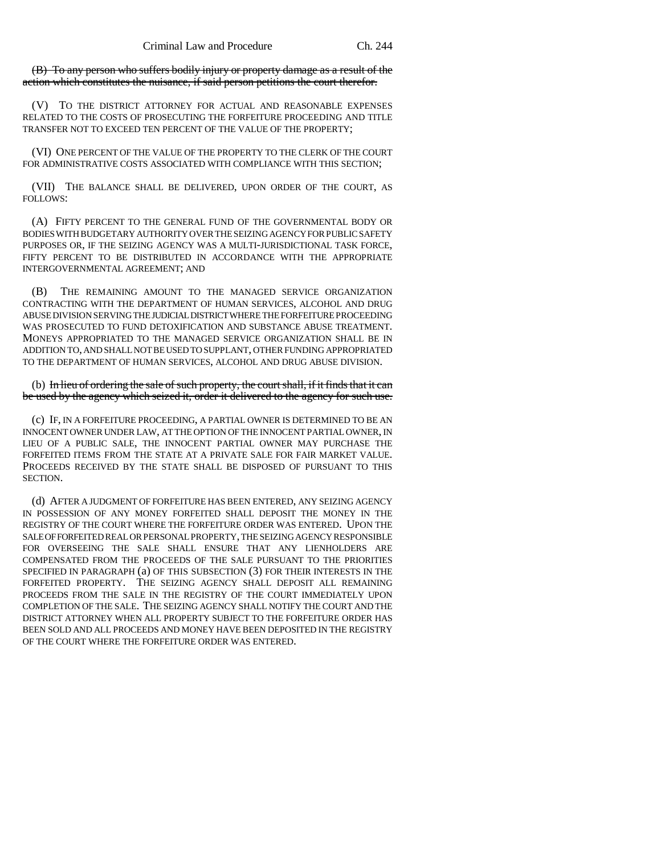(B) To any person who suffers bodily injury or property damage as a result of the action which constitutes the nuisance, if said person petitions the court therefor.

(V) TO THE DISTRICT ATTORNEY FOR ACTUAL AND REASONABLE EXPENSES RELATED TO THE COSTS OF PROSECUTING THE FORFEITURE PROCEEDING AND TITLE TRANSFER NOT TO EXCEED TEN PERCENT OF THE VALUE OF THE PROPERTY;

(VI) ONE PERCENT OF THE VALUE OF THE PROPERTY TO THE CLERK OF THE COURT FOR ADMINISTRATIVE COSTS ASSOCIATED WITH COMPLIANCE WITH THIS SECTION;

(VII) THE BALANCE SHALL BE DELIVERED, UPON ORDER OF THE COURT, AS FOLLOWS:

(A) FIFTY PERCENT TO THE GENERAL FUND OF THE GOVERNMENTAL BODY OR BODIES WITH BUDGETARY AUTHORITY OVER THE SEIZING AGENCY FOR PUBLIC SAFETY PURPOSES OR, IF THE SEIZING AGENCY WAS A MULTI-JURISDICTIONAL TASK FORCE, FIFTY PERCENT TO BE DISTRIBUTED IN ACCORDANCE WITH THE APPROPRIATE INTERGOVERNMENTAL AGREEMENT; AND

(B) THE REMAINING AMOUNT TO THE MANAGED SERVICE ORGANIZATION CONTRACTING WITH THE DEPARTMENT OF HUMAN SERVICES, ALCOHOL AND DRUG ABUSE DIVISION SERVING THE JUDICIAL DISTRICT WHERE THE FORFEITURE PROCEEDING WAS PROSECUTED TO FUND DETOXIFICATION AND SUBSTANCE ABUSE TREATMENT. MONEYS APPROPRIATED TO THE MANAGED SERVICE ORGANIZATION SHALL BE IN ADDITION TO, AND SHALL NOT BE USED TO SUPPLANT, OTHER FUNDING APPROPRIATED TO THE DEPARTMENT OF HUMAN SERVICES, ALCOHOL AND DRUG ABUSE DIVISION.

(b) In lieu of ordering the sale of such property, the court shall, if it finds that it can be used by the agency which seized it, order it delivered to the agency for such use.

(c) IF, IN A FORFEITURE PROCEEDING, A PARTIAL OWNER IS DETERMINED TO BE AN INNOCENT OWNER UNDER LAW, AT THE OPTION OF THE INNOCENT PARTIAL OWNER, IN LIEU OF A PUBLIC SALE, THE INNOCENT PARTIAL OWNER MAY PURCHASE THE FORFEITED ITEMS FROM THE STATE AT A PRIVATE SALE FOR FAIR MARKET VALUE. PROCEEDS RECEIVED BY THE STATE SHALL BE DISPOSED OF PURSUANT TO THIS SECTION.

(d) AFTER A JUDGMENT OF FORFEITURE HAS BEEN ENTERED, ANY SEIZING AGENCY IN POSSESSION OF ANY MONEY FORFEITED SHALL DEPOSIT THE MONEY IN THE REGISTRY OF THE COURT WHERE THE FORFEITURE ORDER WAS ENTERED. UPON THE SALE OF FORFEITED REAL OR PERSONAL PROPERTY, THE SEIZING AGENCY RESPONSIBLE FOR OVERSEEING THE SALE SHALL ENSURE THAT ANY LIENHOLDERS ARE COMPENSATED FROM THE PROCEEDS OF THE SALE PURSUANT TO THE PRIORITIES SPECIFIED IN PARAGRAPH (a) OF THIS SUBSECTION (3) FOR THEIR INTERESTS IN THE FORFEITED PROPERTY. THE SEIZING AGENCY SHALL DEPOSIT ALL REMAINING PROCEEDS FROM THE SALE IN THE REGISTRY OF THE COURT IMMEDIATELY UPON COMPLETION OF THE SALE. THE SEIZING AGENCY SHALL NOTIFY THE COURT AND THE DISTRICT ATTORNEY WHEN ALL PROPERTY SUBJECT TO THE FORFEITURE ORDER HAS BEEN SOLD AND ALL PROCEEDS AND MONEY HAVE BEEN DEPOSITED IN THE REGISTRY OF THE COURT WHERE THE FORFEITURE ORDER WAS ENTERED.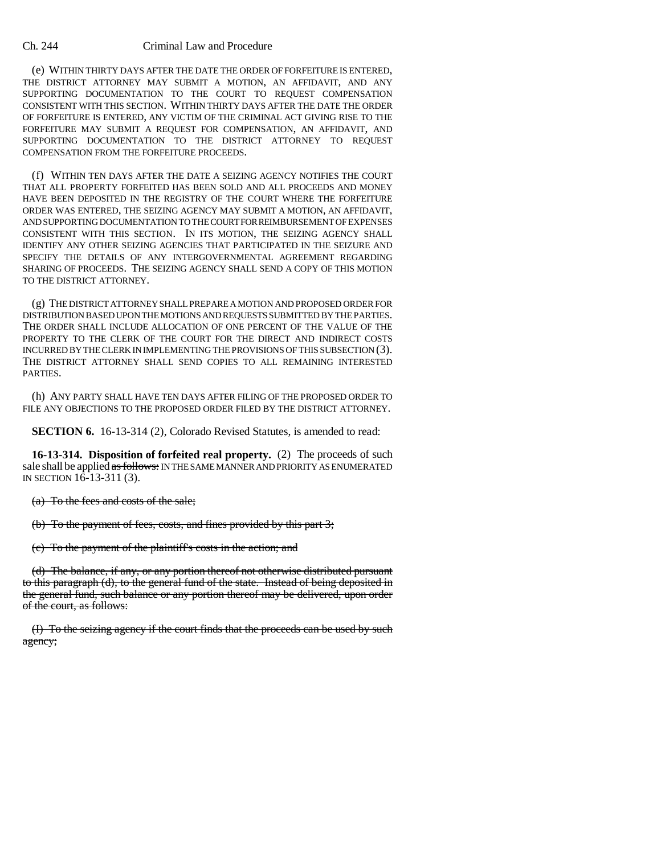(e) WITHIN THIRTY DAYS AFTER THE DATE THE ORDER OF FORFEITURE IS ENTERED, THE DISTRICT ATTORNEY MAY SUBMIT A MOTION, AN AFFIDAVIT, AND ANY SUPPORTING DOCUMENTATION TO THE COURT TO REQUEST COMPENSATION CONSISTENT WITH THIS SECTION. WITHIN THIRTY DAYS AFTER THE DATE THE ORDER OF FORFEITURE IS ENTERED, ANY VICTIM OF THE CRIMINAL ACT GIVING RISE TO THE FORFEITURE MAY SUBMIT A REQUEST FOR COMPENSATION, AN AFFIDAVIT, AND SUPPORTING DOCUMENTATION TO THE DISTRICT ATTORNEY TO REQUEST COMPENSATION FROM THE FORFEITURE PROCEEDS.

(f) WITHIN TEN DAYS AFTER THE DATE A SEIZING AGENCY NOTIFIES THE COURT THAT ALL PROPERTY FORFEITED HAS BEEN SOLD AND ALL PROCEEDS AND MONEY HAVE BEEN DEPOSITED IN THE REGISTRY OF THE COURT WHERE THE FORFEITURE ORDER WAS ENTERED, THE SEIZING AGENCY MAY SUBMIT A MOTION, AN AFFIDAVIT, AND SUPPORTING DOCUMENTATION TO THE COURT FOR REIMBURSEMENT OF EXPENSES CONSISTENT WITH THIS SECTION. IN ITS MOTION, THE SEIZING AGENCY SHALL IDENTIFY ANY OTHER SEIZING AGENCIES THAT PARTICIPATED IN THE SEIZURE AND SPECIFY THE DETAILS OF ANY INTERGOVERNMENTAL AGREEMENT REGARDING SHARING OF PROCEEDS. THE SEIZING AGENCY SHALL SEND A COPY OF THIS MOTION TO THE DISTRICT ATTORNEY.

(g) THE DISTRICT ATTORNEY SHALL PREPARE A MOTION AND PROPOSED ORDER FOR DISTRIBUTION BASED UPON THE MOTIONS AND REQUESTS SUBMITTED BY THE PARTIES. THE ORDER SHALL INCLUDE ALLOCATION OF ONE PERCENT OF THE VALUE OF THE PROPERTY TO THE CLERK OF THE COURT FOR THE DIRECT AND INDIRECT COSTS INCURRED BY THE CLERK IN IMPLEMENTING THE PROVISIONS OF THIS SUBSECTION (3). THE DISTRICT ATTORNEY SHALL SEND COPIES TO ALL REMAINING INTERESTED PARTIES.

(h) ANY PARTY SHALL HAVE TEN DAYS AFTER FILING OF THE PROPOSED ORDER TO FILE ANY OBJECTIONS TO THE PROPOSED ORDER FILED BY THE DISTRICT ATTORNEY.

**SECTION 6.** 16-13-314 (2), Colorado Revised Statutes, is amended to read:

**16-13-314. Disposition of forfeited real property.** (2) The proceeds of such sale shall be applied as follows: IN THE SAME MANNER AND PRIORITY AS ENUMERATED IN SECTION 16-13-311 (3).

(a) To the fees and costs of the sale;

(b) To the payment of fees, costs, and fines provided by this part 3;

(c) To the payment of the plaintiff's costs in the action; and

(d) The balance, if any, or any portion thereof not otherwise distributed pursuant to this paragraph (d), to the general fund of the state. Instead of being deposited in the general fund, such balance or any portion thereof may be delivered, upon order of the court, as follows:

(I) To the seizing agency if the court finds that the proceeds can be used by such agency;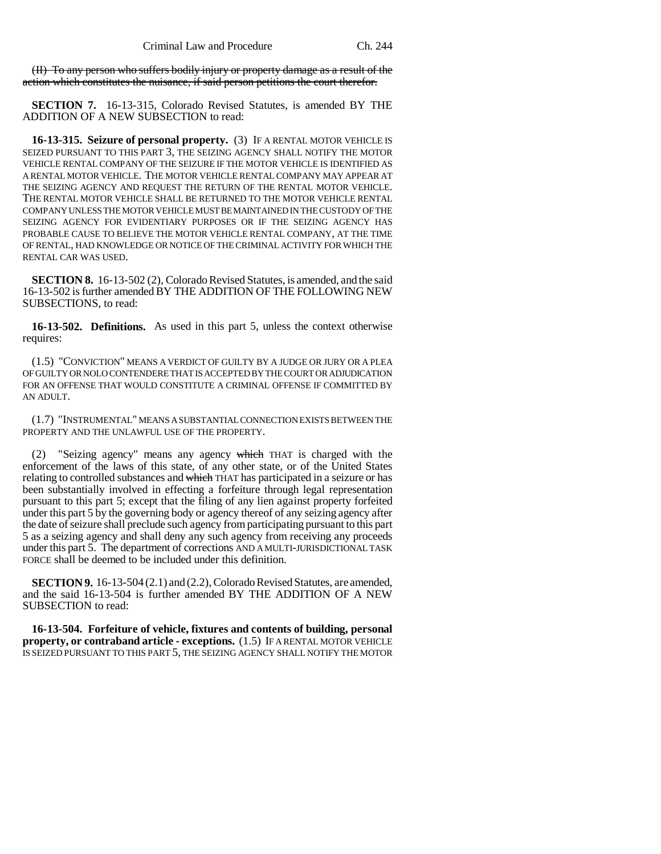(II) To any person who suffers bodily injury or property damage as a result of the action which constitutes the nuisance, if said person petitions the court therefor.

**SECTION 7.** 16-13-315, Colorado Revised Statutes, is amended BY THE ADDITION OF A NEW SUBSECTION to read:

**16-13-315. Seizure of personal property.** (3) IF A RENTAL MOTOR VEHICLE IS SEIZED PURSUANT TO THIS PART 3, THE SEIZING AGENCY SHALL NOTIFY THE MOTOR VEHICLE RENTAL COMPANY OF THE SEIZURE IF THE MOTOR VEHICLE IS IDENTIFIED AS A RENTAL MOTOR VEHICLE. THE MOTOR VEHICLE RENTAL COMPANY MAY APPEAR AT THE SEIZING AGENCY AND REQUEST THE RETURN OF THE RENTAL MOTOR VEHICLE. THE RENTAL MOTOR VEHICLE SHALL BE RETURNED TO THE MOTOR VEHICLE RENTAL COMPANY UNLESS THE MOTOR VEHICLE MUST BE MAINTAINED IN THE CUSTODY OF THE SEIZING AGENCY FOR EVIDENTIARY PURPOSES OR IF THE SEIZING AGENCY HAS PROBABLE CAUSE TO BELIEVE THE MOTOR VEHICLE RENTAL COMPANY, AT THE TIME OF RENTAL, HAD KNOWLEDGE OR NOTICE OF THE CRIMINAL ACTIVITY FOR WHICH THE RENTAL CAR WAS USED.

**SECTION 8.** 16-13-502 (2), Colorado Revised Statutes, is amended, and the said 16-13-502 is further amended BY THE ADDITION OF THE FOLLOWING NEW SUBSECTIONS, to read:

**16-13-502. Definitions.** As used in this part 5, unless the context otherwise requires:

(1.5) "CONVICTION" MEANS A VERDICT OF GUILTY BY A JUDGE OR JURY OR A PLEA OF GUILTY OR NOLO CONTENDERE THAT IS ACCEPTED BY THE COURT OR ADJUDICATION FOR AN OFFENSE THAT WOULD CONSTITUTE A CRIMINAL OFFENSE IF COMMITTED BY AN ADULT.

(1.7) "INSTRUMENTAL" MEANS A SUBSTANTIAL CONNECTION EXISTS BETWEEN THE PROPERTY AND THE UNLAWFUL USE OF THE PROPERTY.

"Seizing agency" means any agency which THAT is charged with the enforcement of the laws of this state, of any other state, or of the United States relating to controlled substances and which THAT has participated in a seizure or has been substantially involved in effecting a forfeiture through legal representation pursuant to this part 5; except that the filing of any lien against property forfeited under this part 5 by the governing body or agency thereof of any seizing agency after the date of seizure shall preclude such agency from participating pursuant to this part 5 as a seizing agency and shall deny any such agency from receiving any proceeds under this part 5. The department of corrections AND A MULTI-JURISDICTIONAL TASK FORCE shall be deemed to be included under this definition.

**SECTION 9.** 16-13-504 (2.1) and (2.2), Colorado Revised Statutes, are amended, and the said 16-13-504 is further amended BY THE ADDITION OF A NEW SUBSECTION to read:

**16-13-504. Forfeiture of vehicle, fixtures and contents of building, personal property, or contraband article - exceptions.** (1.5) IF A RENTAL MOTOR VEHICLE IS SEIZED PURSUANT TO THIS PART 5, THE SEIZING AGENCY SHALL NOTIFY THE MOTOR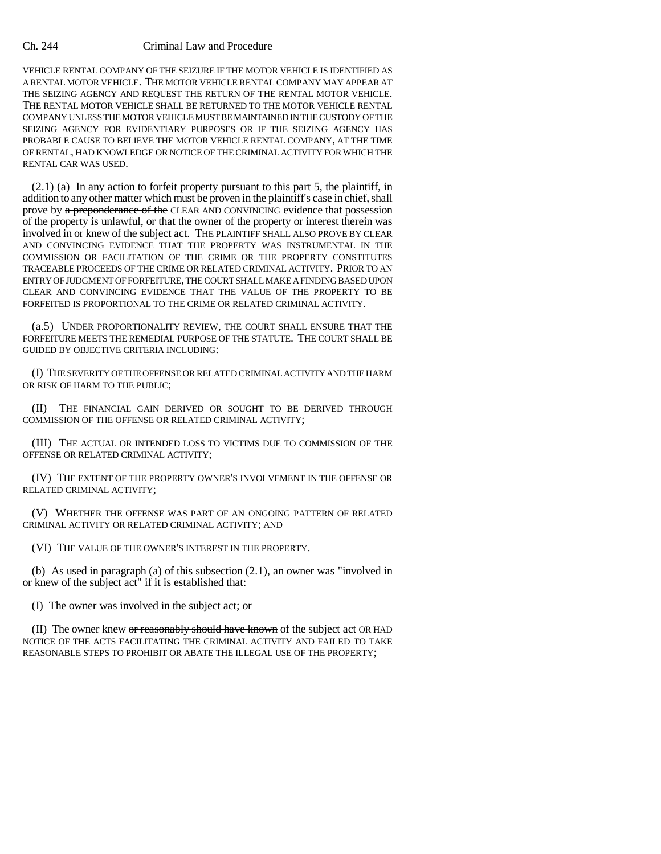VEHICLE RENTAL COMPANY OF THE SEIZURE IF THE MOTOR VEHICLE IS IDENTIFIED AS A RENTAL MOTOR VEHICLE. THE MOTOR VEHICLE RENTAL COMPANY MAY APPEAR AT THE SEIZING AGENCY AND REQUEST THE RETURN OF THE RENTAL MOTOR VEHICLE. THE RENTAL MOTOR VEHICLE SHALL BE RETURNED TO THE MOTOR VEHICLE RENTAL COMPANY UNLESS THE MOTOR VEHICLE MUST BE MAINTAINED IN THE CUSTODY OF THE SEIZING AGENCY FOR EVIDENTIARY PURPOSES OR IF THE SEIZING AGENCY HAS PROBABLE CAUSE TO BELIEVE THE MOTOR VEHICLE RENTAL COMPANY, AT THE TIME OF RENTAL, HAD KNOWLEDGE OR NOTICE OF THE CRIMINAL ACTIVITY FOR WHICH THE RENTAL CAR WAS USED.

(2.1) (a) In any action to forfeit property pursuant to this part 5, the plaintiff, in addition to any other matter which must be proven in the plaintiff's case in chief, shall prove by a preponderance of the CLEAR AND CONVINCING evidence that possession of the property is unlawful, or that the owner of the property or interest therein was involved in or knew of the subject act. THE PLAINTIFF SHALL ALSO PROVE BY CLEAR AND CONVINCING EVIDENCE THAT THE PROPERTY WAS INSTRUMENTAL IN THE COMMISSION OR FACILITATION OF THE CRIME OR THE PROPERTY CONSTITUTES TRACEABLE PROCEEDS OF THE CRIME OR RELATED CRIMINAL ACTIVITY. PRIOR TO AN ENTRY OF JUDGMENT OF FORFEITURE, THE COURT SHALL MAKE A FINDING BASED UPON CLEAR AND CONVINCING EVIDENCE THAT THE VALUE OF THE PROPERTY TO BE FORFEITED IS PROPORTIONAL TO THE CRIME OR RELATED CRIMINAL ACTIVITY.

(a.5) UNDER PROPORTIONALITY REVIEW, THE COURT SHALL ENSURE THAT THE FORFEITURE MEETS THE REMEDIAL PURPOSE OF THE STATUTE. THE COURT SHALL BE GUIDED BY OBJECTIVE CRITERIA INCLUDING:

(I) THE SEVERITY OF THE OFFENSE OR RELATED CRIMINAL ACTIVITY AND THE HARM OR RISK OF HARM TO THE PUBLIC;

(II) THE FINANCIAL GAIN DERIVED OR SOUGHT TO BE DERIVED THROUGH COMMISSION OF THE OFFENSE OR RELATED CRIMINAL ACTIVITY;

(III) THE ACTUAL OR INTENDED LOSS TO VICTIMS DUE TO COMMISSION OF THE OFFENSE OR RELATED CRIMINAL ACTIVITY;

(IV) THE EXTENT OF THE PROPERTY OWNER'S INVOLVEMENT IN THE OFFENSE OR RELATED CRIMINAL ACTIVITY;

(V) WHETHER THE OFFENSE WAS PART OF AN ONGOING PATTERN OF RELATED CRIMINAL ACTIVITY OR RELATED CRIMINAL ACTIVITY; AND

(VI) THE VALUE OF THE OWNER'S INTEREST IN THE PROPERTY.

(b) As used in paragraph (a) of this subsection (2.1), an owner was "involved in or knew of the subject act" if it is established that:

(I) The owner was involved in the subject act;  $\sigma$ 

(II) The owner knew or reasonably should have known of the subject act OR HAD NOTICE OF THE ACTS FACILITATING THE CRIMINAL ACTIVITY AND FAILED TO TAKE REASONABLE STEPS TO PROHIBIT OR ABATE THE ILLEGAL USE OF THE PROPERTY;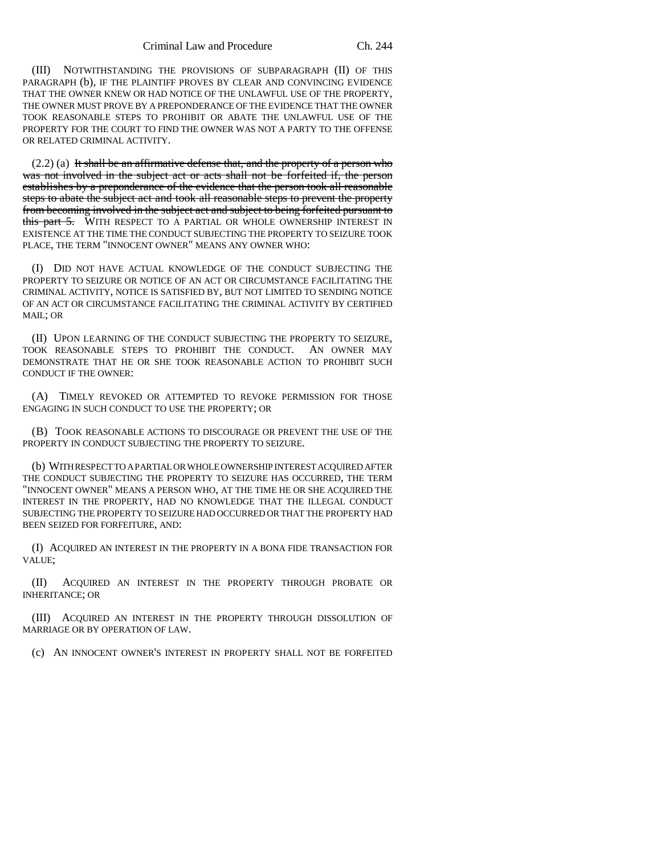(III) NOTWITHSTANDING THE PROVISIONS OF SUBPARAGRAPH (II) OF THIS PARAGRAPH (b), IF THE PLAINTIFF PROVES BY CLEAR AND CONVINCING EVIDENCE THAT THE OWNER KNEW OR HAD NOTICE OF THE UNLAWFUL USE OF THE PROPERTY, THE OWNER MUST PROVE BY A PREPONDERANCE OF THE EVIDENCE THAT THE OWNER TOOK REASONABLE STEPS TO PROHIBIT OR ABATE THE UNLAWFUL USE OF THE PROPERTY FOR THE COURT TO FIND THE OWNER WAS NOT A PARTY TO THE OFFENSE OR RELATED CRIMINAL ACTIVITY.

 $(2.2)$  (a) It shall be an affirmative defense that, and the property of a person who was not involved in the subject act or acts shall not be forfeited if, the person establishes by a preponderance of the evidence that the person took all reasonable steps to abate the subject act and took all reasonable steps to prevent the property from becoming involved in the subject act and subject to being forfeited pursuant to this part 5. WITH RESPECT TO A PARTIAL OR WHOLE OWNERSHIP INTEREST IN EXISTENCE AT THE TIME THE CONDUCT SUBJECTING THE PROPERTY TO SEIZURE TOOK PLACE, THE TERM "INNOCENT OWNER" MEANS ANY OWNER WHO:

(I) DID NOT HAVE ACTUAL KNOWLEDGE OF THE CONDUCT SUBJECTING THE PROPERTY TO SEIZURE OR NOTICE OF AN ACT OR CIRCUMSTANCE FACILITATING THE CRIMINAL ACTIVITY, NOTICE IS SATISFIED BY, BUT NOT LIMITED TO SENDING NOTICE OF AN ACT OR CIRCUMSTANCE FACILITATING THE CRIMINAL ACTIVITY BY CERTIFIED MAIL; OR

(II) UPON LEARNING OF THE CONDUCT SUBJECTING THE PROPERTY TO SEIZURE, TOOK REASONABLE STEPS TO PROHIBIT THE CONDUCT. AN OWNER MAY DEMONSTRATE THAT HE OR SHE TOOK REASONABLE ACTION TO PROHIBIT SUCH CONDUCT IF THE OWNER:

(A) TIMELY REVOKED OR ATTEMPTED TO REVOKE PERMISSION FOR THOSE ENGAGING IN SUCH CONDUCT TO USE THE PROPERTY; OR

(B) TOOK REASONABLE ACTIONS TO DISCOURAGE OR PREVENT THE USE OF THE PROPERTY IN CONDUCT SUBJECTING THE PROPERTY TO SEIZURE.

(b) WITH RESPECT TO A PARTIAL OR WHOLE OWNERSHIP INTEREST ACQUIRED AFTER THE CONDUCT SUBJECTING THE PROPERTY TO SEIZURE HAS OCCURRED, THE TERM "INNOCENT OWNER" MEANS A PERSON WHO, AT THE TIME HE OR SHE ACQUIRED THE INTEREST IN THE PROPERTY, HAD NO KNOWLEDGE THAT THE ILLEGAL CONDUCT SUBJECTING THE PROPERTY TO SEIZURE HAD OCCURRED OR THAT THE PROPERTY HAD BEEN SEIZED FOR FORFEITURE, AND:

(I) ACQUIRED AN INTEREST IN THE PROPERTY IN A BONA FIDE TRANSACTION FOR VALUE;

(II) ACQUIRED AN INTEREST IN THE PROPERTY THROUGH PROBATE OR INHERITANCE; OR

(III) ACQUIRED AN INTEREST IN THE PROPERTY THROUGH DISSOLUTION OF MARRIAGE OR BY OPERATION OF LAW.

(c) AN INNOCENT OWNER'S INTEREST IN PROPERTY SHALL NOT BE FORFEITED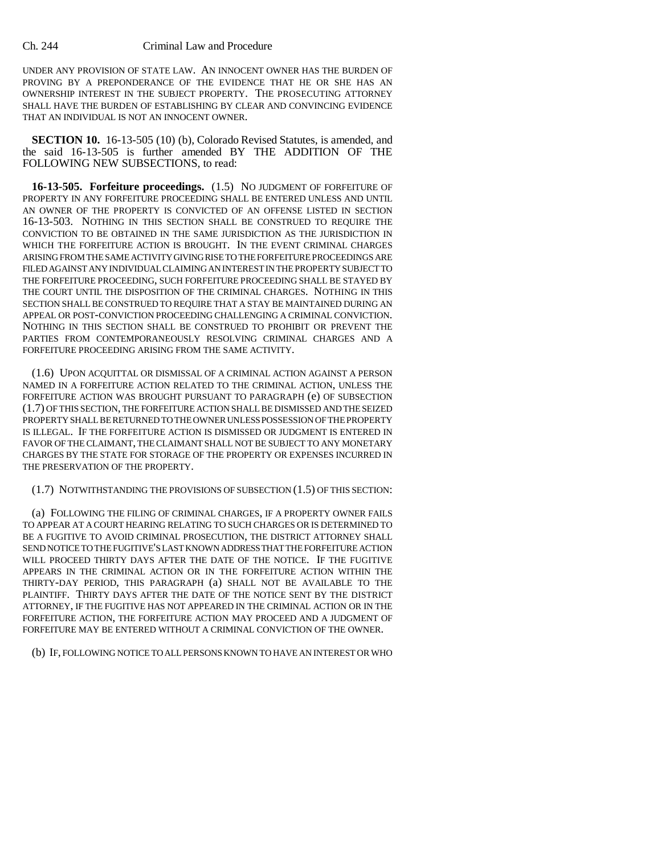UNDER ANY PROVISION OF STATE LAW. AN INNOCENT OWNER HAS THE BURDEN OF PROVING BY A PREPONDERANCE OF THE EVIDENCE THAT HE OR SHE HAS AN OWNERSHIP INTEREST IN THE SUBJECT PROPERTY. THE PROSECUTING ATTORNEY SHALL HAVE THE BURDEN OF ESTABLISHING BY CLEAR AND CONVINCING EVIDENCE THAT AN INDIVIDUAL IS NOT AN INNOCENT OWNER.

**SECTION 10.** 16-13-505 (10) (b), Colorado Revised Statutes, is amended, and the said 16-13-505 is further amended BY THE ADDITION OF THE FOLLOWING NEW SUBSECTIONS, to read:

**16-13-505. Forfeiture proceedings.** (1.5) NO JUDGMENT OF FORFEITURE OF PROPERTY IN ANY FORFEITURE PROCEEDING SHALL BE ENTERED UNLESS AND UNTIL AN OWNER OF THE PROPERTY IS CONVICTED OF AN OFFENSE LISTED IN SECTION 16-13-503. NOTHING IN THIS SECTION SHALL BE CONSTRUED TO REQUIRE THE CONVICTION TO BE OBTAINED IN THE SAME JURISDICTION AS THE JURISDICTION IN WHICH THE FORFEITURE ACTION IS BROUGHT. IN THE EVENT CRIMINAL CHARGES ARISING FROM THE SAME ACTIVITY GIVING RISE TO THE FORFEITURE PROCEEDINGS ARE FILED AGAINST ANY INDIVIDUAL CLAIMING AN INTEREST IN THE PROPERTY SUBJECT TO THE FORFEITURE PROCEEDING, SUCH FORFEITURE PROCEEDING SHALL BE STAYED BY THE COURT UNTIL THE DISPOSITION OF THE CRIMINAL CHARGES. NOTHING IN THIS SECTION SHALL BE CONSTRUED TO REQUIRE THAT A STAY BE MAINTAINED DURING AN APPEAL OR POST-CONVICTION PROCEEDING CHALLENGING A CRIMINAL CONVICTION. NOTHING IN THIS SECTION SHALL BE CONSTRUED TO PROHIBIT OR PREVENT THE PARTIES FROM CONTEMPORANEOUSLY RESOLVING CRIMINAL CHARGES AND A FORFEITURE PROCEEDING ARISING FROM THE SAME ACTIVITY.

(1.6) UPON ACQUITTAL OR DISMISSAL OF A CRIMINAL ACTION AGAINST A PERSON NAMED IN A FORFEITURE ACTION RELATED TO THE CRIMINAL ACTION, UNLESS THE FORFEITURE ACTION WAS BROUGHT PURSUANT TO PARAGRAPH (e) OF SUBSECTION (1.7) OF THIS SECTION, THE FORFEITURE ACTION SHALL BE DISMISSED AND THE SEIZED PROPERTY SHALL BE RETURNED TO THE OWNER UNLESS POSSESSION OF THE PROPERTY IS ILLEGAL. IF THE FORFEITURE ACTION IS DISMISSED OR JUDGMENT IS ENTERED IN FAVOR OF THE CLAIMANT, THE CLAIMANT SHALL NOT BE SUBJECT TO ANY MONETARY CHARGES BY THE STATE FOR STORAGE OF THE PROPERTY OR EXPENSES INCURRED IN THE PRESERVATION OF THE PROPERTY.

(1.7) NOTWITHSTANDING THE PROVISIONS OF SUBSECTION (1.5) OF THIS SECTION:

(a) FOLLOWING THE FILING OF CRIMINAL CHARGES, IF A PROPERTY OWNER FAILS TO APPEAR AT A COURT HEARING RELATING TO SUCH CHARGES OR IS DETERMINED TO BE A FUGITIVE TO AVOID CRIMINAL PROSECUTION, THE DISTRICT ATTORNEY SHALL SEND NOTICE TO THE FUGITIVE'S LAST KNOWN ADDRESS THAT THE FORFEITURE ACTION WILL PROCEED THIRTY DAYS AFTER THE DATE OF THE NOTICE. IF THE FUGITIVE APPEARS IN THE CRIMINAL ACTION OR IN THE FORFEITURE ACTION WITHIN THE THIRTY-DAY PERIOD, THIS PARAGRAPH (a) SHALL NOT BE AVAILABLE TO THE PLAINTIFF. THIRTY DAYS AFTER THE DATE OF THE NOTICE SENT BY THE DISTRICT ATTORNEY, IF THE FUGITIVE HAS NOT APPEARED IN THE CRIMINAL ACTION OR IN THE FORFEITURE ACTION, THE FORFEITURE ACTION MAY PROCEED AND A JUDGMENT OF FORFEITURE MAY BE ENTERED WITHOUT A CRIMINAL CONVICTION OF THE OWNER.

(b) IF, FOLLOWING NOTICE TO ALL PERSONS KNOWN TO HAVE AN INTEREST OR WHO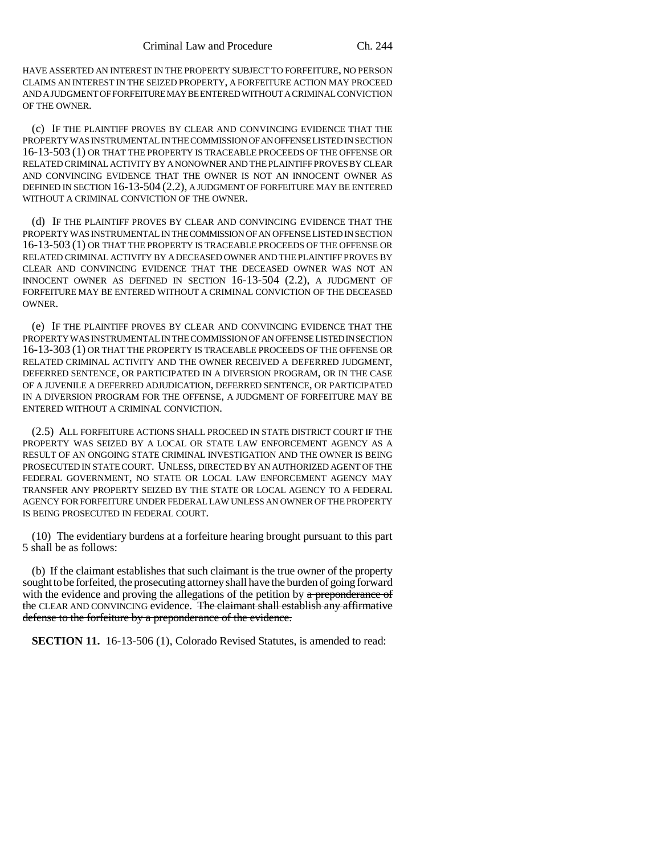HAVE ASSERTED AN INTEREST IN THE PROPERTY SUBJECT TO FORFEITURE, NO PERSON CLAIMS AN INTEREST IN THE SEIZED PROPERTY, A FORFEITURE ACTION MAY PROCEED AND A JUDGMENT OF FORFEITURE MAY BE ENTERED WITHOUT A CRIMINAL CONVICTION OF THE OWNER.

(c) IF THE PLAINTIFF PROVES BY CLEAR AND CONVINCING EVIDENCE THAT THE PROPERTY WAS INSTRUMENTAL IN THE COMMISSION OF AN OFFENSE LISTED IN SECTION 16-13-503 (1) OR THAT THE PROPERTY IS TRACEABLE PROCEEDS OF THE OFFENSE OR RELATED CRIMINAL ACTIVITY BY A NONOWNER AND THE PLAINTIFF PROVES BY CLEAR AND CONVINCING EVIDENCE THAT THE OWNER IS NOT AN INNOCENT OWNER AS DEFINED IN SECTION 16-13-504 (2.2), A JUDGMENT OF FORFEITURE MAY BE ENTERED WITHOUT A CRIMINAL CONVICTION OF THE OWNER.

(d) IF THE PLAINTIFF PROVES BY CLEAR AND CONVINCING EVIDENCE THAT THE PROPERTY WAS INSTRUMENTAL IN THE COMMISSION OF AN OFFENSE LISTED IN SECTION 16-13-503 (1) OR THAT THE PROPERTY IS TRACEABLE PROCEEDS OF THE OFFENSE OR RELATED CRIMINAL ACTIVITY BY A DECEASED OWNER AND THE PLAINTIFF PROVES BY CLEAR AND CONVINCING EVIDENCE THAT THE DECEASED OWNER WAS NOT AN INNOCENT OWNER AS DEFINED IN SECTION 16-13-504 (2.2), A JUDGMENT OF FORFEITURE MAY BE ENTERED WITHOUT A CRIMINAL CONVICTION OF THE DECEASED OWNER.

(e) IF THE PLAINTIFF PROVES BY CLEAR AND CONVINCING EVIDENCE THAT THE PROPERTY WAS INSTRUMENTAL IN THE COMMISSION OF AN OFFENSE LISTED IN SECTION 16-13-303 (1) OR THAT THE PROPERTY IS TRACEABLE PROCEEDS OF THE OFFENSE OR RELATED CRIMINAL ACTIVITY AND THE OWNER RECEIVED A DEFERRED JUDGMENT, DEFERRED SENTENCE, OR PARTICIPATED IN A DIVERSION PROGRAM, OR IN THE CASE OF A JUVENILE A DEFERRED ADJUDICATION, DEFERRED SENTENCE, OR PARTICIPATED IN A DIVERSION PROGRAM FOR THE OFFENSE, A JUDGMENT OF FORFEITURE MAY BE ENTERED WITHOUT A CRIMINAL CONVICTION.

(2.5) ALL FORFEITURE ACTIONS SHALL PROCEED IN STATE DISTRICT COURT IF THE PROPERTY WAS SEIZED BY A LOCAL OR STATE LAW ENFORCEMENT AGENCY AS A RESULT OF AN ONGOING STATE CRIMINAL INVESTIGATION AND THE OWNER IS BEING PROSECUTED IN STATE COURT. UNLESS, DIRECTED BY AN AUTHORIZED AGENT OF THE FEDERAL GOVERNMENT, NO STATE OR LOCAL LAW ENFORCEMENT AGENCY MAY TRANSFER ANY PROPERTY SEIZED BY THE STATE OR LOCAL AGENCY TO A FEDERAL AGENCY FOR FORFEITURE UNDER FEDERAL LAW UNLESS AN OWNER OF THE PROPERTY IS BEING PROSECUTED IN FEDERAL COURT.

(10) The evidentiary burdens at a forfeiture hearing brought pursuant to this part 5 shall be as follows:

(b) If the claimant establishes that such claimant is the true owner of the property sought to be forfeited, the prosecuting attorney shall have the burden of going forward with the evidence and proving the allegations of the petition by  $a$  preponderance of the CLEAR AND CONVINCING evidence. The claimant shall establish any affirmative defense to the forfeiture by a preponderance of the evidence.

**SECTION 11.** 16-13-506 (1), Colorado Revised Statutes, is amended to read: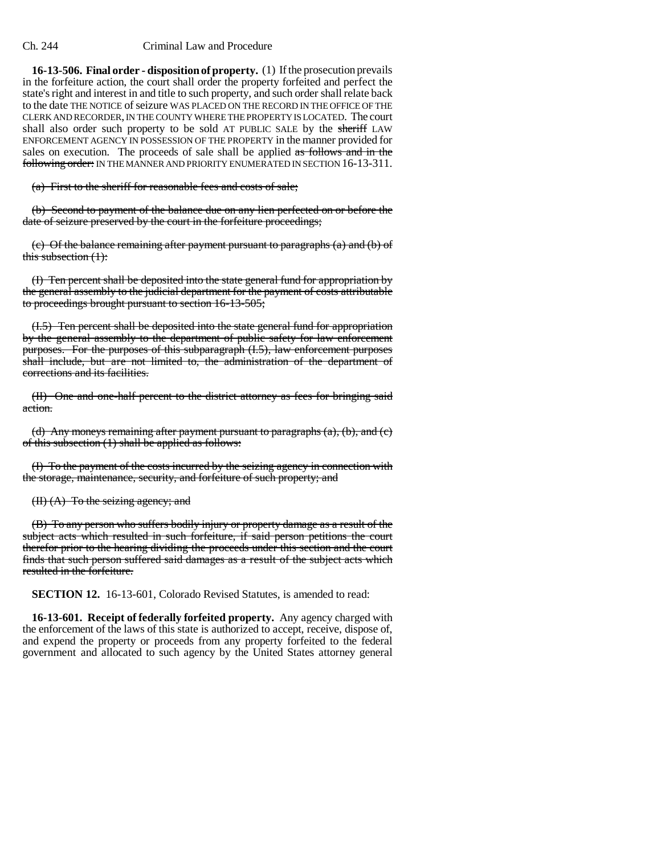**16-13-506. Final order - disposition of property.** (1) If the prosecution prevails in the forfeiture action, the court shall order the property forfeited and perfect the state's right and interest in and title to such property, and such order shall relate back to the date THE NOTICE of seizure WAS PLACED ON THE RECORD IN THE OFFICE OF THE CLERK AND RECORDER, IN THE COUNTY WHERE THE PROPERTY IS LOCATED. The court shall also order such property to be sold AT PUBLIC SALE by the sheriff LAW ENFORCEMENT AGENCY IN POSSESSION OF THE PROPERTY in the manner provided for sales on execution. The proceeds of sale shall be applied as follows and in the following order: IN THE MANNER AND PRIORITY ENUMERATED IN SECTION 16-13-311.

(a) First to the sheriff for reasonable fees and costs of sale;

(b) Second to payment of the balance due on any lien perfected on or before the date of seizure preserved by the court in the forfeiture proceedings;

(c) Of the balance remaining after payment pursuant to paragraphs (a) and (b) of this subsection  $(1)$ :

(I) Ten percent shall be deposited into the state general fund for appropriation by the general assembly to the judicial department for the payment of costs attributable to proceedings brought pursuant to section 16-13-505;

(I.5) Ten percent shall be deposited into the state general fund for appropriation by the general assembly to the department of public safety for law enforcement purposes. For the purposes of this subparagraph (I.5), law enforcement purposes shall include, but are not limited to, the administration of the department of corrections and its facilities.

(II) One and one-half percent to the district attorney as fees for bringing said action.

(d) Any moneys remaining after payment pursuant to paragraphs  $(a)$ ,  $(b)$ , and  $(c)$ of this subsection (1) shall be applied as follows:

(I) To the payment of the costs incurred by the seizing agency in connection with the storage, maintenance, security, and forfeiture of such property; and

#### (II) (A) To the seizing agency; and

(B) To any person who suffers bodily injury or property damage as a result of the subject acts which resulted in such forfeiture, if said person petitions the court therefor prior to the hearing dividing the proceeds under this section and the court finds that such person suffered said damages as a result of the subject acts which resulted in the forfeiture.

**SECTION 12.** 16-13-601, Colorado Revised Statutes, is amended to read:

**16-13-601. Receipt of federally forfeited property.** Any agency charged with the enforcement of the laws of this state is authorized to accept, receive, dispose of, and expend the property or proceeds from any property forfeited to the federal government and allocated to such agency by the United States attorney general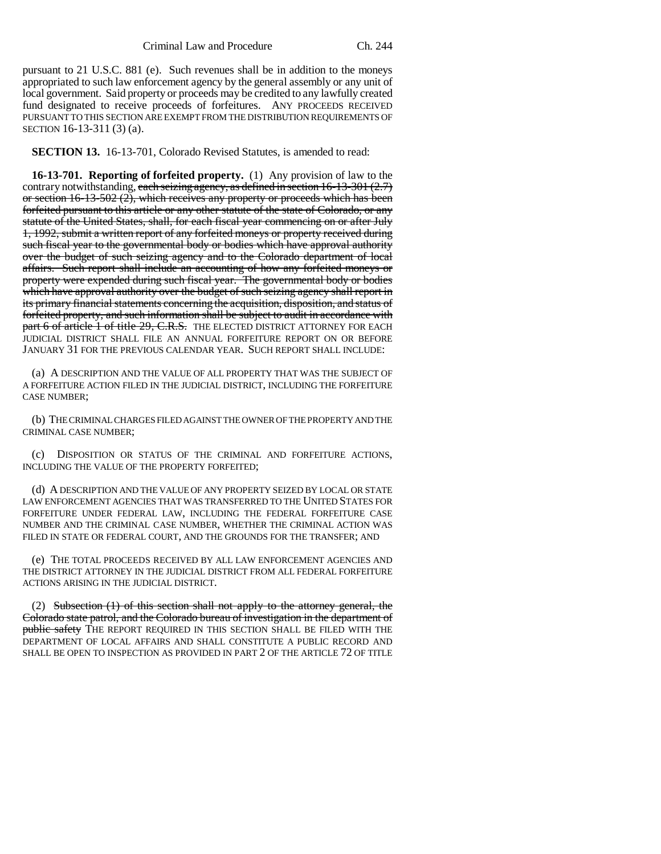pursuant to 21 U.S.C. 881 (e). Such revenues shall be in addition to the moneys appropriated to such law enforcement agency by the general assembly or any unit of local government. Said property or proceeds may be credited to any lawfully created fund designated to receive proceeds of forfeitures. ANY PROCEEDS RECEIVED PURSUANT TO THIS SECTION ARE EXEMPT FROM THE DISTRIBUTION REQUIREMENTS OF SECTION 16-13-311 (3) (a).

**SECTION 13.** 16-13-701, Colorado Revised Statutes, is amended to read:

**16-13-701. Reporting of forfeited property.** (1) Any provision of law to the contrary notwithstanding, each seizing agency, as defined in section  $16-13-301(2.7)$ or section 16-13-502 (2), which receives any property or proceeds which has been forfeited pursuant to this article or any other statute of the state of Colorado, or any statute of the United States, shall, for each fiscal year commencing on or after July 1, 1992, submit a written report of any forfeited moneys or property received during such fiscal year to the governmental body or bodies which have approval authority over the budget of such seizing agency and to the Colorado department of local affairs. Such report shall include an accounting of how any forfeited moneys or property were expended during such fiscal year. The governmental body or bodies which have approval authority over the budget of such seizing agency shall report in its primary financial statements concerning the acquisition, disposition, and status of forfeited property, and such information shall be subject to audit in accordance with part 6 of article 1 of title 29, C.R.S. THE ELECTED DISTRICT ATTORNEY FOR EACH JUDICIAL DISTRICT SHALL FILE AN ANNUAL FORFEITURE REPORT ON OR BEFORE JANUARY 31 FOR THE PREVIOUS CALENDAR YEAR. SUCH REPORT SHALL INCLUDE:

(a) A DESCRIPTION AND THE VALUE OF ALL PROPERTY THAT WAS THE SUBJECT OF A FORFEITURE ACTION FILED IN THE JUDICIAL DISTRICT, INCLUDING THE FORFEITURE CASE NUMBER;

(b) THE CRIMINAL CHARGES FILED AGAINST THE OWNER OF THE PROPERTY AND THE CRIMINAL CASE NUMBER;

(c) DISPOSITION OR STATUS OF THE CRIMINAL AND FORFEITURE ACTIONS, INCLUDING THE VALUE OF THE PROPERTY FORFEITED;

(d) A DESCRIPTION AND THE VALUE OF ANY PROPERTY SEIZED BY LOCAL OR STATE LAW ENFORCEMENT AGENCIES THAT WAS TRANSFERRED TO THE UNITED STATES FOR FORFEITURE UNDER FEDERAL LAW, INCLUDING THE FEDERAL FORFEITURE CASE NUMBER AND THE CRIMINAL CASE NUMBER, WHETHER THE CRIMINAL ACTION WAS FILED IN STATE OR FEDERAL COURT, AND THE GROUNDS FOR THE TRANSFER; AND

(e) THE TOTAL PROCEEDS RECEIVED BY ALL LAW ENFORCEMENT AGENCIES AND THE DISTRICT ATTORNEY IN THE JUDICIAL DISTRICT FROM ALL FEDERAL FORFEITURE ACTIONS ARISING IN THE JUDICIAL DISTRICT.

(2) Subsection  $(1)$  of this section shall not apply to the attorney general, the Colorado state patrol, and the Colorado bureau of investigation in the department of public safety THE REPORT REQUIRED IN THIS SECTION SHALL BE FILED WITH THE DEPARTMENT OF LOCAL AFFAIRS AND SHALL CONSTITUTE A PUBLIC RECORD AND SHALL BE OPEN TO INSPECTION AS PROVIDED IN PART 2 OF THE ARTICLE 72 OF TITLE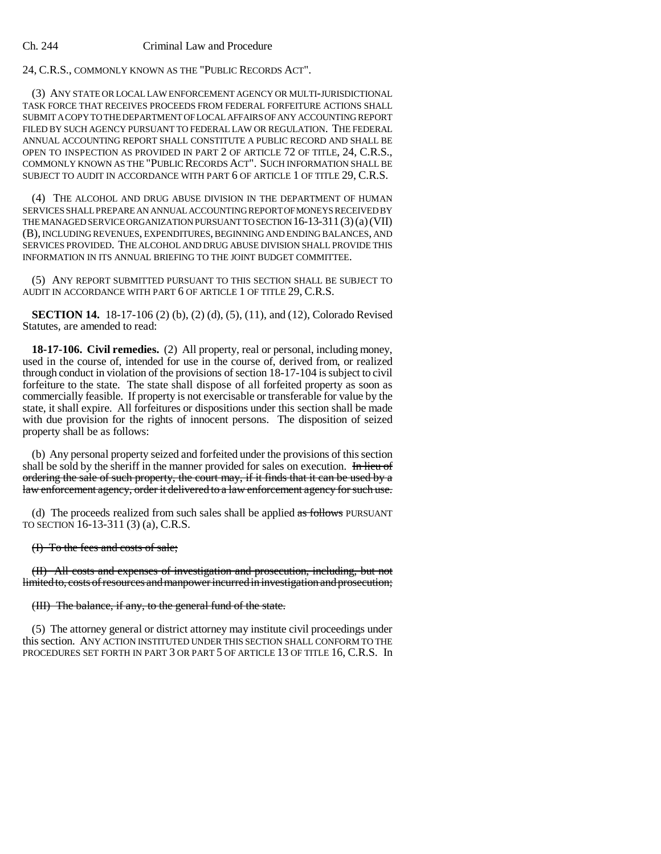24, C.R.S., COMMONLY KNOWN AS THE "PUBLIC RECORDS ACT".

(3) ANY STATE OR LOCAL LAW ENFORCEMENT AGENCY OR MULTI-JURISDICTIONAL TASK FORCE THAT RECEIVES PROCEEDS FROM FEDERAL FORFEITURE ACTIONS SHALL SUBMIT A COPY TO THE DEPARTMENT OF LOCAL AFFAIRS OF ANY ACCOUNTING REPORT FILED BY SUCH AGENCY PURSUANT TO FEDERAL LAW OR REGULATION. THE FEDERAL ANNUAL ACCOUNTING REPORT SHALL CONSTITUTE A PUBLIC RECORD AND SHALL BE OPEN TO INSPECTION AS PROVIDED IN PART 2 OF ARTICLE 72 OF TITLE, 24, C.R.S., COMMONLY KNOWN AS THE "PUBLIC RECORDS ACT". SUCH INFORMATION SHALL BE SUBJECT TO AUDIT IN ACCORDANCE WITH PART 6 OF ARTICLE 1 OF TITLE 29, C.R.S.

(4) THE ALCOHOL AND DRUG ABUSE DIVISION IN THE DEPARTMENT OF HUMAN SERVICES SHALL PREPARE AN ANNUAL ACCOUNTING REPORT OF MONEYS RECEIVED BY THE MANAGED SERVICE ORGANIZATION PURSUANT TO SECTION 16-13-311(3)(a)(VII) (B), INCLUDING REVENUES, EXPENDITURES, BEGINNING AND ENDING BALANCES, AND SERVICES PROVIDED. THE ALCOHOL AND DRUG ABUSE DIVISION SHALL PROVIDE THIS INFORMATION IN ITS ANNUAL BRIEFING TO THE JOINT BUDGET COMMITTEE.

(5) ANY REPORT SUBMITTED PURSUANT TO THIS SECTION SHALL BE SUBJECT TO AUDIT IN ACCORDANCE WITH PART 6 OF ARTICLE 1 OF TITLE 29, C.R.S.

**SECTION 14.** 18-17-106 (2) (b), (2) (d), (5), (11), and (12), Colorado Revised Statutes, are amended to read:

**18-17-106. Civil remedies.** (2) All property, real or personal, including money, used in the course of, intended for use in the course of, derived from, or realized through conduct in violation of the provisions of section 18-17-104 is subject to civil forfeiture to the state. The state shall dispose of all forfeited property as soon as commercially feasible. If property is not exercisable or transferable for value by the state, it shall expire. All forfeitures or dispositions under this section shall be made with due provision for the rights of innocent persons. The disposition of seized property shall be as follows:

(b) Any personal property seized and forfeited under the provisions of this section shall be sold by the sheriff in the manner provided for sales on execution. In lieu of ordering the sale of such property, the court may, if it finds that it can be used by a law enforcement agency, order it delivered to a law enforcement agency for such use.

(d) The proceeds realized from such sales shall be applied  $\alpha s$  follows PURSUANT TO SECTION 16-13-311 (3) (a), C.R.S.

(I) To the fees and costs of sale;

(II) All costs and expenses of investigation and prosecution, including, but not limited to, costs of resources and manpower incurred in investigation and prosecution;

#### (III) The balance, if any, to the general fund of the state.

(5) The attorney general or district attorney may institute civil proceedings under this section. ANY ACTION INSTITUTED UNDER THIS SECTION SHALL CONFORM TO THE PROCEDURES SET FORTH IN PART 3 OR PART 5 OF ARTICLE 13 OF TITLE 16, C.R.S. In